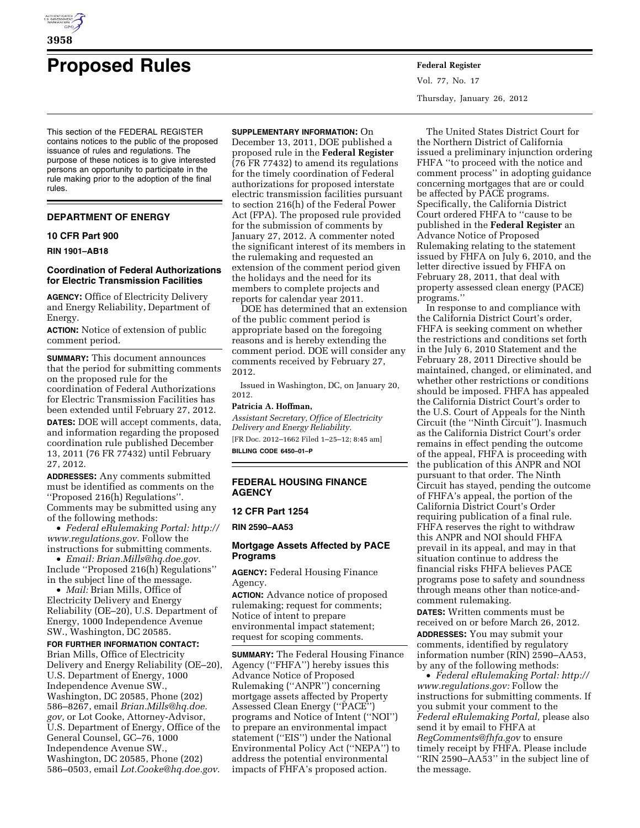

# **Proposed Rules Federal Register**

This section of the FEDERAL REGISTER contains notices to the public of the proposed issuance of rules and regulations. The purpose of these notices is to give interested persons an opportunity to participate in the rule making prior to the adoption of the final rules.

#### **DEPARTMENT OF ENERGY**

#### **10 CFR Part 900**

**RIN 1901–AB18** 

### **Coordination of Federal Authorizations for Electric Transmission Facilities**

**AGENCY:** Office of Electricity Delivery and Energy Reliability, Department of Energy.

**ACTION:** Notice of extension of public comment period.

**SUMMARY:** This document announces that the period for submitting comments on the proposed rule for the coordination of Federal Authorizations for Electric Transmission Facilities has been extended until February 27, 2012.

**DATES:** DOE will accept comments, data, and information regarding the proposed coordination rule published December 13, 2011 (76 FR 77432) until February 27, 2012.

**ADDRESSES:** Any comments submitted must be identified as comments on the ''Proposed 216(h) Regulations''. Comments may be submitted using any of the following methods:

• *Federal eRulemaking Portal: [http://](http://www.regulations.gov)  [www.regulations.gov.](http://www.regulations.gov)* Follow the instructions for submitting comments.

• *Email: [Brian.Mills@hq.doe.gov.](mailto:Brian.Mills@hq.doe.gov)*  Include ''Proposed 216(h) Regulations'' in the subject line of the message.

• *Mail:* Brian Mills, Office of Electricity Delivery and Energy Reliability (OE–20), U.S. Department of Energy, 1000 Independence Avenue SW., Washington, DC 20585.

# **FOR FURTHER INFORMATION CONTACT:**

Brian Mills, Office of Electricity Delivery and Energy Reliability (OE–20), U.S. Department of Energy, 1000 Independence Avenue SW., Washington, DC 20585, Phone (202) 586–8267, email *[Brian.Mills@hq.doe.](mailto:Brian.Mills@hq.doe.gov) [gov,](mailto:Brian.Mills@hq.doe.gov)* or Lot Cooke, Attorney-Advisor, U.S. Department of Energy, Office of the General Counsel, GC–76, 1000 Independence Avenue SW., Washington, DC 20585, Phone (202) 586–0503, email *[Lot.Cooke@hq.doe.gov.](mailto:Lot.Cooke@hq.doe.gov)* 

# **SUPPLEMENTARY INFORMATION:** On

December 13, 2011, DOE published a proposed rule in the **Federal Register**  (76 FR 77432) to amend its regulations for the timely coordination of Federal authorizations for proposed interstate electric transmission facilities pursuant to section 216(h) of the Federal Power Act (FPA). The proposed rule provided for the submission of comments by January 27, 2012. A commenter noted the significant interest of its members in the rulemaking and requested an extension of the comment period given the holidays and the need for its members to complete projects and reports for calendar year 2011.

DOE has determined that an extension of the public comment period is appropriate based on the foregoing reasons and is hereby extending the comment period. DOE will consider any comments received by February 27, 2012.

Issued in Washington, DC, on January 20, 2012.

# **Patricia A. Hoffman,**

*Assistant Secretary, Office of Electricity Delivery and Energy Reliability.*  [FR Doc. 2012–1662 Filed 1–25–12; 8:45 am] **BILLING CODE 6450–01–P** 

# **FEDERAL HOUSING FINANCE AGENCY**

#### **12 CFR Part 1254**

**RIN 2590–AA53** 

#### **Mortgage Assets Affected by PACE Programs**

**AGENCY:** Federal Housing Finance Agency.

**ACTION:** Advance notice of proposed rulemaking; request for comments; Notice of intent to prepare environmental impact statement; request for scoping comments.

**SUMMARY:** The Federal Housing Finance Agency (''FHFA'') hereby issues this Advance Notice of Proposed Rulemaking (''ANPR'') concerning mortgage assets affected by Property Assessed Clean Energy (''PACE'') programs and Notice of Intent (''NOI'') to prepare an environmental impact statement (''EIS'') under the National Environmental Policy Act (''NEPA'') to address the potential environmental impacts of FHFA's proposed action.

Vol. 77, No. 17 Thursday, January 26, 2012

The United States District Court for the Northern District of California issued a preliminary injunction ordering FHFA ''to proceed with the notice and comment process'' in adopting guidance concerning mortgages that are or could be affected by PACE programs. Specifically, the California District Court ordered FHFA to ''cause to be published in the **Federal Register** an Advance Notice of Proposed Rulemaking relating to the statement issued by FHFA on July 6, 2010, and the letter directive issued by FHFA on February 28, 2011, that deal with property assessed clean energy (PACE) programs.''

In response to and compliance with the California District Court's order, FHFA is seeking comment on whether the restrictions and conditions set forth in the July 6, 2010 Statement and the February 28, 2011 Directive should be maintained, changed, or eliminated, and whether other restrictions or conditions should be imposed. FHFA has appealed the California District Court's order to the U.S. Court of Appeals for the Ninth Circuit (the ''Ninth Circuit''). Inasmuch as the California District Court's order remains in effect pending the outcome of the appeal, FHFA is proceeding with the publication of this ANPR and NOI pursuant to that order. The Ninth Circuit has stayed, pending the outcome of FHFA's appeal, the portion of the California District Court's Order requiring publication of a final rule. FHFA reserves the right to withdraw this ANPR and NOI should FHFA prevail in its appeal, and may in that situation continue to address the financial risks FHFA believes PACE programs pose to safety and soundness through means other than notice-andcomment rulemaking.

**DATES:** Written comments must be received on or before March 26, 2012. **ADDRESSES:** You may submit your comments, identified by regulatory information number (RIN) 2590–AA53, by any of the following methods:

• *Federal eRulemaking Portal: [http://](http://www.regulations.gov)  [www.regulations.gov:](http://www.regulations.gov)* Follow the instructions for submitting comments. If you submit your comment to the *Federal eRulemaking Portal,* please also send it by email to FHFA at *[RegComments@fhfa.gov](mailto:RegComments@fhfa.gov)* to ensure timely receipt by FHFA. Please include ''RIN 2590–AA53'' in the subject line of the message.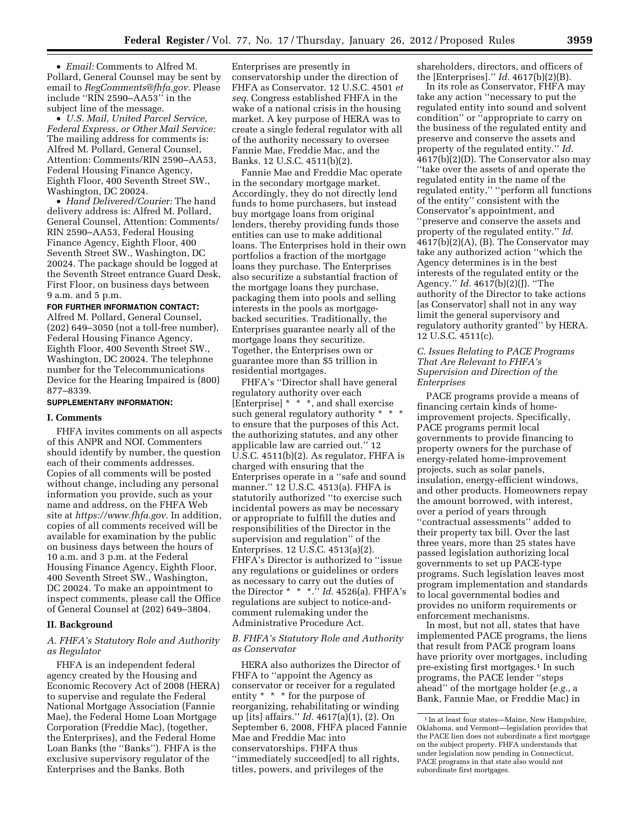• *Email:* Comments to Alfred M. Pollard, General Counsel may be sent by email to *[RegComments@fhfa.gov.](mailto:RegComments@fhfa.gov)* Please include ''RIN 2590–AA53'' in the subject line of the message.

• *U.S. Mail, United Parcel Service, Federal Express, or Other Mail Service:*  The mailing address for comments is: Alfred M. Pollard, General Counsel, Attention: Comments/RIN 2590–AA53, Federal Housing Finance Agency, Eighth Floor, 400 Seventh Street SW., Washington, DC 20024.

• *Hand Delivered/Courier:* The hand delivery address is: Alfred M. Pollard, General Counsel, Attention: Comments/ RIN 2590–AA53, Federal Housing Finance Agency, Eighth Floor, 400 Seventh Street SW., Washington, DC 20024. The package should be logged at the Seventh Street entrance Guard Desk, First Floor, on business days between 9 a.m. and 5 p.m.

#### **FOR FURTHER INFORMATION CONTACT:**

Alfred M. Pollard, General Counsel, (202) 649–3050 (not a toll-free number), Federal Housing Finance Agency, Eighth Floor, 400 Seventh Street SW., Washington, DC 20024. The telephone number for the Telecommunications Device for the Hearing Impaired is (800) 877–8339.

#### **SUPPLEMENTARY INFORMATION:**

#### **I. Comments**

FHFA invites comments on all aspects of this ANPR and NOI. Commenters should identify by number, the question each of their comments addresses. Copies of all comments will be posted without change, including any personal information you provide, such as your name and address, on the FHFA Web site at *[https://www.fhfa.gov.](https://www.fhfa.gov)* In addition, copies of all comments received will be available for examination by the public on business days between the hours of 10 a.m. and 3 p.m. at the Federal Housing Finance Agency, Eighth Floor, 400 Seventh Street SW., Washington, DC 20024. To make an appointment to inspect comments, please call the Office of General Counsel at (202) 649–3804.

### **II. Background**

# *A. FHFA's Statutory Role and Authority as Regulator*

FHFA is an independent federal agency created by the Housing and Economic Recovery Act of 2008 (HERA) to supervise and regulate the Federal National Mortgage Association (Fannie Mae), the Federal Home Loan Mortgage Corporation (Freddie Mac), (together, the Enterprises), and the Federal Home Loan Banks (the ''Banks''). FHFA is the exclusive supervisory regulator of the Enterprises and the Banks. Both

Enterprises are presently in conservatorship under the direction of FHFA as Conservator. 12 U.S.C. 4501 *et seq.* Congress established FHFA in the wake of a national crisis in the housing market. A key purpose of HERA was to create a single federal regulator with all of the authority necessary to oversee Fannie Mae, Freddie Mac, and the Banks. 12 U.S.C. 4511(b)(2).

Fannie Mae and Freddie Mac operate in the secondary mortgage market. Accordingly, they do not directly lend funds to home purchasers, but instead buy mortgage loans from original lenders, thereby providing funds those entities can use to make additional loans. The Enterprises hold in their own portfolios a fraction of the mortgage loans they purchase. The Enterprises also securitize a substantial fraction of the mortgage loans they purchase, packaging them into pools and selling interests in the pools as mortgagebacked securities. Traditionally, the Enterprises guarantee nearly all of the mortgage loans they securitize. Together, the Enterprises own or guarantee more than \$5 trillion in residential mortgages.

FHFA's ''Director shall have general regulatory authority over each [Enterprise] \* \* \*, and shall exercise such general regulatory authority \* to ensure that the purposes of this Act, the authorizing statutes, and any other applicable law are carried out.'' 12 U.S.C. 4511(b)(2). As regulator, FHFA is charged with ensuring that the Enterprises operate in a ''safe and sound manner.'' 12 U.S.C. 4513(a). FHFA is statutorily authorized ''to exercise such incidental powers as may be necessary or appropriate to fulfill the duties and responsibilities of the Director in the supervision and regulation'' of the Enterprises. 12 U.S.C. 4513(a)(2). FHFA's Director is authorized to ''issue any regulations or guidelines or orders as necessary to carry out the duties of the Director \* \* \*.'' *Id.* 4526(a). FHFA's regulations are subject to notice-andcomment rulemaking under the Administrative Procedure Act.

#### *B. FHFA's Statutory Role and Authority as Conservator*

HERA also authorizes the Director of FHFA to ''appoint the Agency as conservator or receiver for a regulated entity \* \* \* for the purpose of reorganizing, rehabilitating or winding up [its] affairs.'' *Id.* 4617(a)(1), (2). On September 6, 2008, FHFA placed Fannie Mae and Freddie Mac into conservatorships. FHFA thus ''immediately succeed[ed] to all rights, titles, powers, and privileges of the

shareholders, directors, and officers of the [Enterprises].'' *Id.* 4617(b)(2)(B).

In its role as Conservator, FHFA may take any action ''necessary to put the regulated entity into sound and solvent condition'' or ''appropriate to carry on the business of the regulated entity and preserve and conserve the assets and property of the regulated entity.'' *Id.*  4617(b)(2)(D). The Conservator also may ''take over the assets of and operate the regulated entity in the name of the regulated entity,'' ''perform all functions of the entity'' consistent with the Conservator's appointment, and ''preserve and conserve the assets and property of the regulated entity.'' *Id.*  4617(b)(2)(A), (B). The Conservator may take any authorized action ''which the Agency determines is in the best interests of the regulated entity or the Agency.'' *Id.* 4617(b)(2)(J). ''The authority of the Director to take actions [as Conservator] shall not in any way limit the general supervisory and regulatory authority granted'' by HERA. 12 U.S.C. 4511(c).

# *C. Issues Relating to PACE Programs That Are Relevant to FHFA's Supervision and Direction of the Enterprises*

PACE programs provide a means of financing certain kinds of homeimprovement projects. Specifically, PACE programs permit local governments to provide financing to property owners for the purchase of energy-related home-improvement projects, such as solar panels, insulation, energy-efficient windows, and other products. Homeowners repay the amount borrowed, with interest, over a period of years through ''contractual assessments'' added to their property tax bill. Over the last three years, more than 25 states have passed legislation authorizing local governments to set up PACE-type programs. Such legislation leaves most program implementation and standards to local governmental bodies and provides no uniform requirements or enforcement mechanisms.

In most, but not all, states that have implemented PACE programs, the liens that result from PACE program loans have priority over mortgages, including pre-existing first mortgages.1 In such programs, the PACE lender ''steps ahead'' of the mortgage holder (*e.g.,* a Bank, Fannie Mae, or Freddie Mac) in

 $^{\rm 1}\!$  In at least four states—Maine, New Hampshire, Oklahoma, and Vermont—legislation provides that the PACE lien does not subordinate a first mortgage on the subject property. FHFA understands that under legislation now pending in Connecticut, PACE programs in that state also would not subordinate first mortgages.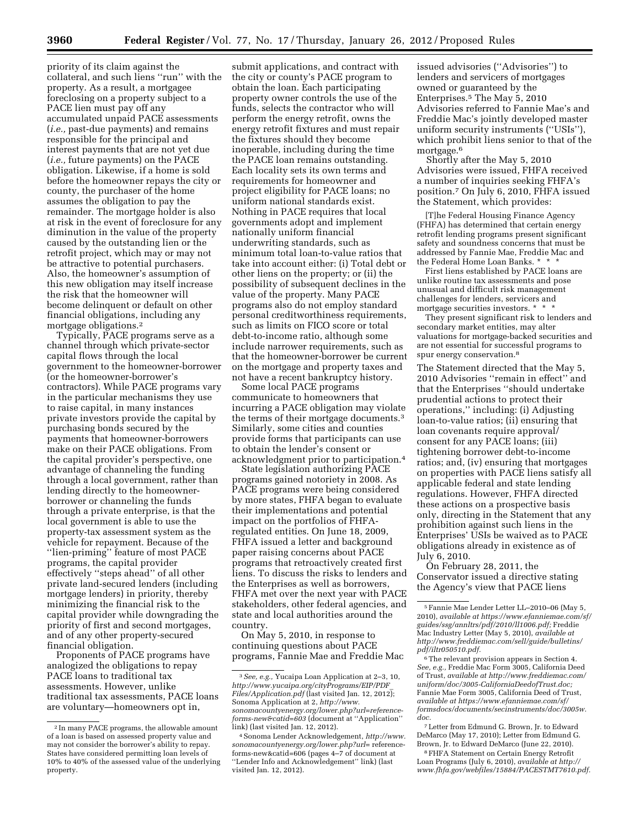priority of its claim against the collateral, and such liens ''run'' with the property. As a result, a mortgagee foreclosing on a property subject to a PACE lien must pay off any accumulated unpaid PACE assessments (*i.e.,* past-due payments) and remains responsible for the principal and interest payments that are not yet due (*i.e.,* future payments) on the PACE obligation. Likewise, if a home is sold before the homeowner repays the city or county, the purchaser of the home assumes the obligation to pay the remainder. The mortgage holder is also at risk in the event of foreclosure for any diminution in the value of the property caused by the outstanding lien or the retrofit project, which may or may not be attractive to potential purchasers. Also, the homeowner's assumption of this new obligation may itself increase the risk that the homeowner will become delinquent or default on other financial obligations, including any mortgage obligations.2

Typically, PACE programs serve as a channel through which private-sector capital flows through the local government to the homeowner-borrower (or the homeowner-borrower's contractors). While PACE programs vary in the particular mechanisms they use to raise capital, in many instances private investors provide the capital by purchasing bonds secured by the payments that homeowner-borrowers make on their PACE obligations. From the capital provider's perspective, one advantage of channeling the funding through a local government, rather than lending directly to the homeownerborrower or channeling the funds through a private enterprise, is that the local government is able to use the property-tax assessment system as the vehicle for repayment. Because of the ''lien-priming'' feature of most PACE programs, the capital provider effectively ''steps ahead'' of all other private land-secured lenders (including mortgage lenders) in priority, thereby minimizing the financial risk to the capital provider while downgrading the priority of first and second mortgages, and of any other property-secured financial obligation.

Proponents of PACE programs have analogized the obligations to repay PACE loans to traditional tax assessments. However, unlike traditional tax assessments, PACE loans are voluntary—homeowners opt in,

submit applications, and contract with the city or county's PACE program to obtain the loan. Each participating property owner controls the use of the funds, selects the contractor who will perform the energy retrofit, owns the energy retrofit fixtures and must repair the fixtures should they become inoperable, including during the time the PACE loan remains outstanding. Each locality sets its own terms and requirements for homeowner and project eligibility for PACE loans; no uniform national standards exist. Nothing in PACE requires that local governments adopt and implement nationally uniform financial underwriting standards, such as minimum total loan-to-value ratios that take into account either: (i) Total debt or other liens on the property; or (ii) the possibility of subsequent declines in the value of the property. Many PACE programs also do not employ standard personal creditworthiness requirements, such as limits on FICO score or total debt-to-income ratio, although some include narrower requirements, such as that the homeowner-borrower be current on the mortgage and property taxes and not have a recent bankruptcy history.

Some local PACE programs communicate to homeowners that incurring a PACE obligation may violate the terms of their mortgage documents.3 Similarly, some cities and counties provide forms that participants can use to obtain the lender's consent or acknowledgment prior to participation.4

State legislation authorizing PACE programs gained notoriety in 2008. As PACE programs were being considered by more states, FHFA began to evaluate their implementations and potential impact on the portfolios of FHFAregulated entities. On June 18, 2009, FHFA issued a letter and background paper raising concerns about PACE programs that retroactively created first liens. To discuss the risks to lenders and the Enterprises as well as borrowers, FHFA met over the next year with PACE stakeholders, other federal agencies, and state and local authorities around the country.

On May 5, 2010, in response to continuing questions about PACE programs, Fannie Mae and Freddie Mac

issued advisories (''Advisories'') to lenders and servicers of mortgages owned or guaranteed by the Enterprises.5 The May 5, 2010 Advisories referred to Fannie Mae's and Freddie Mac's jointly developed master uniform security instruments (''USIs''), which prohibit liens senior to that of the mortgage.<sup>6</sup>

Shortly after the May 5, 2010 Advisories were issued, FHFA received a number of inquiries seeking FHFA's position.7 On July 6, 2010, FHFA issued the Statement, which provides:

[T]he Federal Housing Finance Agency (FHFA) has determined that certain energy retrofit lending programs present significant safety and soundness concerns that must be addressed by Fannie Mae, Freddie Mac and the Federal Home Loan Banks. \*

First liens established by PACE loans are unlike routine tax assessments and pose unusual and difficult risk management challenges for lenders, servicers and mortgage securities investors. \*

They present significant risk to lenders and secondary market entities, may alter valuations for mortgage-backed securities and are not essential for successful programs to spur energy conservation.8

The Statement directed that the May 5, 2010 Advisories ''remain in effect'' and that the Enterprises ''should undertake prudential actions to protect their operations,'' including: (i) Adjusting loan-to-value ratios; (ii) ensuring that loan covenants require approval/ consent for any PACE loans; (iii) tightening borrower debt-to-income ratios; and, (iv) ensuring that mortgages on properties with PACE liens satisfy all applicable federal and state lending regulations. However, FHFA directed these actions on a prospective basis only, directing in the Statement that any prohibition against such liens in the Enterprises' USIs be waived as to PACE obligations already in existence as of July 6, 2010.

On February 28, 2011, the Conservator issued a directive stating the Agency's view that PACE liens

7Letter from Edmund G. Brown, Jr. to Edward DeMarco (May 17, 2010); Letter from Edmund G. Brown, Jr. to Edward DeMarco (June 22, 2010).

8FHFA Statement on Certain Energy Retrofit Loan Programs (July 6, 2010), *available at [http://](http://www.fhfa.gov/webfiles/15884/PACESTMT7610.pdf) [www.fhfa.gov/webfiles/15884/PACESTMT7610.pdf.](http://www.fhfa.gov/webfiles/15884/PACESTMT7610.pdf)* 

<sup>2</sup> In many PACE programs, the allowable amount of a loan is based on assessed property value and may not consider the borrower's ability to repay. States have considered permitting loan levels of 10% to 40% of the assessed value of the underlying property.

<sup>3</sup>*See, e.g.,* Yucaipa Loan Application at 2–3, 10, *[http://www.yucaipa.org/cityPrograms/EIP/PDF](http://www.yucaipa.org/cityPrograms/EIP/PDF_Files/Application.pdf)*\_ *[Files/Application.pdf](http://www.yucaipa.org/cityPrograms/EIP/PDF_Files/Application.pdf)* (last visited Jan. 12, 2012); Sonoma Application at 2, *[http://www.](http://www.sonomacountyenergy.org/lower.php?url=reference-forms-new&catid=603) [sonomacountyenergy.org/lower.php?url=reference](http://www.sonomacountyenergy.org/lower.php?url=reference-forms-new&catid=603)[forms-new&catid=603](http://www.sonomacountyenergy.org/lower.php?url=reference-forms-new&catid=603)* (document at ''Application'' link) (last visited Jan. 12, 2012).

<sup>4</sup>Sonoma Lender Acknowledgement, *[http://www.](http://www.sonomacountyenergy.org/lower.php?url=reference-forms-new&catid=606) [sonomacountyenergy.org/lower.php?url=](http://www.sonomacountyenergy.org/lower.php?url=reference-forms-new&catid=606)* reference[forms-new&catid=606](http://www.sonomacountyenergy.org/lower.php?url=reference-forms-new&catid=606) (pages 4–7 of document at ''Lender Info and Acknowledgement'' link) (last visited Jan. 12, 2012).

<sup>5</sup>Fannie Mae Lender Letter LL–2010–06 (May 5, 2010), *available at [https://www.efanniemae.com/sf/](https://www.efanniemae.com/sf/guides/ssg/annltrs/pdf/2010/ll1006.pdf)  [guides/ssg/annltrs/pdf/2010/ll1006.pdf;](https://www.efanniemae.com/sf/guides/ssg/annltrs/pdf/2010/ll1006.pdf)* Freddie Mac Industry Letter (May 5, 2010), *available at [http://www.freddiemac.com/sell/guide/bulletins/](http://www.freddiemac.com/sell/guide/bulletins/pdf/iltr050510.pdf) [pdf/iltr050510.pdf.](http://www.freddiemac.com/sell/guide/bulletins/pdf/iltr050510.pdf)* 

<sup>6</sup>The relevant provision appears in Section 4. *See, e.g.,* Freddie Mac Form 3005, California Deed of Trust, *available at [http://www.freddiemac.com/](http://www.freddiemac.com/uniform/doc/3005-CaliforniaDeedofTrust.doc) [uniform/doc/3005-CaliforniaDeedofTrust.doc;](http://www.freddiemac.com/uniform/doc/3005-CaliforniaDeedofTrust.doc)*  Fannie Mae Form 3005, California Deed of Trust, *available at [https://www.efanniemae.com/sf/](https://www.efanniemae.com/sf/formsdocs/documents/secinstruments/doc/3005w.doc) [formsdocs/documents/secinstruments/doc/3005w.](https://www.efanniemae.com/sf/formsdocs/documents/secinstruments/doc/3005w.doc) [doc.](https://www.efanniemae.com/sf/formsdocs/documents/secinstruments/doc/3005w.doc)*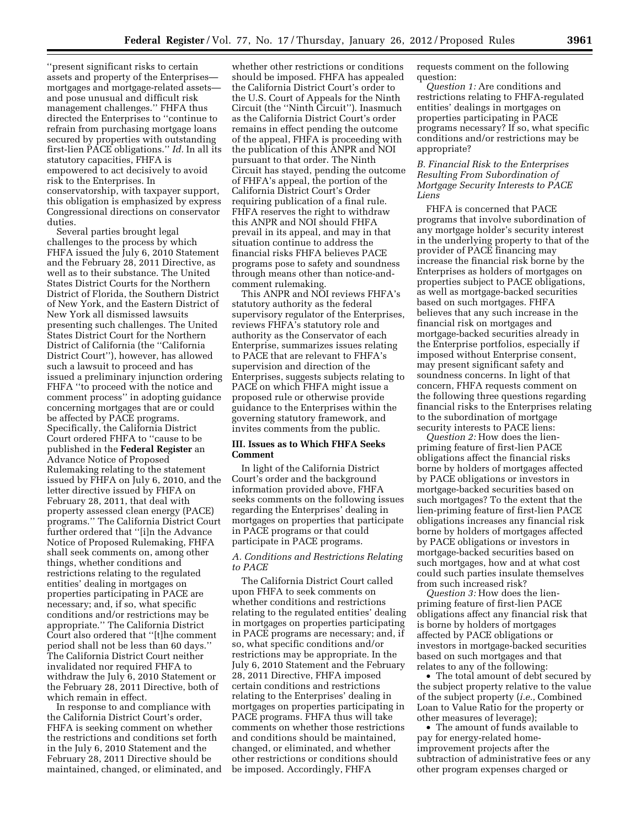''present significant risks to certain assets and property of the Enterprises mortgages and mortgage-related assets and pose unusual and difficult risk management challenges.'' FHFA thus directed the Enterprises to ''continue to refrain from purchasing mortgage loans secured by properties with outstanding first-lien PACE obligations.'' *Id.* In all its statutory capacities, FHFA is empowered to act decisively to avoid risk to the Enterprises. In conservatorship, with taxpayer support, this obligation is emphasized by express Congressional directions on conservator duties.

Several parties brought legal challenges to the process by which FHFA issued the July 6, 2010 Statement and the February 28, 2011 Directive, as well as to their substance. The United States District Courts for the Northern District of Florida, the Southern District of New York, and the Eastern District of New York all dismissed lawsuits presenting such challenges. The United States District Court for the Northern District of California (the ''California District Court''), however, has allowed such a lawsuit to proceed and has issued a preliminary injunction ordering FHFA ''to proceed with the notice and comment process'' in adopting guidance concerning mortgages that are or could be affected by PACE programs. Specifically, the California District Court ordered FHFA to ''cause to be published in the **Federal Register** an Advance Notice of Proposed Rulemaking relating to the statement issued by FHFA on July 6, 2010, and the letter directive issued by FHFA on February 28, 2011, that deal with property assessed clean energy (PACE) programs.'' The California District Court further ordered that ''[i]n the Advance Notice of Proposed Rulemaking, FHFA shall seek comments on, among other things, whether conditions and restrictions relating to the regulated entities' dealing in mortgages on properties participating in PACE are necessary; and, if so, what specific conditions and/or restrictions may be appropriate.'' The California District Court also ordered that ''[t]he comment period shall not be less than 60 days.'' The California District Court neither invalidated nor required FHFA to withdraw the July 6, 2010 Statement or the February 28, 2011 Directive, both of which remain in effect.

In response to and compliance with the California District Court's order, FHFA is seeking comment on whether the restrictions and conditions set forth in the July 6, 2010 Statement and the February 28, 2011 Directive should be maintained, changed, or eliminated, and

whether other restrictions or conditions should be imposed. FHFA has appealed the California District Court's order to the U.S. Court of Appeals for the Ninth Circuit (the ''Ninth Circuit''). Inasmuch as the California District Court's order remains in effect pending the outcome of the appeal, FHFA is proceeding with the publication of this ANPR and NOI pursuant to that order. The Ninth Circuit has stayed, pending the outcome of FHFA's appeal, the portion of the California District Court's Order requiring publication of a final rule. FHFA reserves the right to withdraw this ANPR and NOI should FHFA prevail in its appeal, and may in that situation continue to address the financial risks FHFA believes PACE programs pose to safety and soundness through means other than notice-andcomment rulemaking.

This ANPR and NOI reviews FHFA's statutory authority as the federal supervisory regulator of the Enterprises, reviews FHFA's statutory role and authority as the Conservator of each Enterprise, summarizes issues relating to PACE that are relevant to FHFA's supervision and direction of the Enterprises, suggests subjects relating to PACE on which FHFA might issue a proposed rule or otherwise provide guidance to the Enterprises within the governing statutory framework, and invites comments from the public.

# **III. Issues as to Which FHFA Seeks Comment**

In light of the California District Court's order and the background information provided above, FHFA seeks comments on the following issues regarding the Enterprises' dealing in mortgages on properties that participate in PACE programs or that could participate in PACE programs.

# *A. Conditions and Restrictions Relating to PACE*

The California District Court called upon FHFA to seek comments on whether conditions and restrictions relating to the regulated entities' dealing in mortgages on properties participating in PACE programs are necessary; and, if so, what specific conditions and/or restrictions may be appropriate. In the July 6, 2010 Statement and the February 28, 2011 Directive, FHFA imposed certain conditions and restrictions relating to the Enterprises' dealing in mortgages on properties participating in PACE programs. FHFA thus will take comments on whether those restrictions and conditions should be maintained, changed, or eliminated, and whether other restrictions or conditions should be imposed. Accordingly, FHFA

requests comment on the following question:

*Question 1:* Are conditions and restrictions relating to FHFA-regulated entities' dealings in mortgages on properties participating in PACE programs necessary? If so, what specific conditions and/or restrictions may be appropriate?

#### *B. Financial Risk to the Enterprises Resulting From Subordination of Mortgage Security Interests to PACE Liens*

FHFA is concerned that PACE programs that involve subordination of any mortgage holder's security interest in the underlying property to that of the provider of PACE financing may increase the financial risk borne by the Enterprises as holders of mortgages on properties subject to PACE obligations, as well as mortgage-backed securities based on such mortgages. FHFA believes that any such increase in the financial risk on mortgages and mortgage-backed securities already in the Enterprise portfolios, especially if imposed without Enterprise consent, may present significant safety and soundness concerns. In light of that concern, FHFA requests comment on the following three questions regarding financial risks to the Enterprises relating to the subordination of mortgage security interests to PACE liens:

*Question 2:* How does the lienpriming feature of first-lien PACE obligations affect the financial risks borne by holders of mortgages affected by PACE obligations or investors in mortgage-backed securities based on such mortgages? To the extent that the lien-priming feature of first-lien PACE obligations increases any financial risk borne by holders of mortgages affected by PACE obligations or investors in mortgage-backed securities based on such mortgages, how and at what cost could such parties insulate themselves from such increased risk?

*Question 3:* How does the lienpriming feature of first-lien PACE obligations affect any financial risk that is borne by holders of mortgages affected by PACE obligations or investors in mortgage-backed securities based on such mortgages and that relates to any of the following:

• The total amount of debt secured by the subject property relative to the value of the subject property (*i.e.,* Combined Loan to Value Ratio for the property or other measures of leverage);

• The amount of funds available to pay for energy-related homeimprovement projects after the subtraction of administrative fees or any other program expenses charged or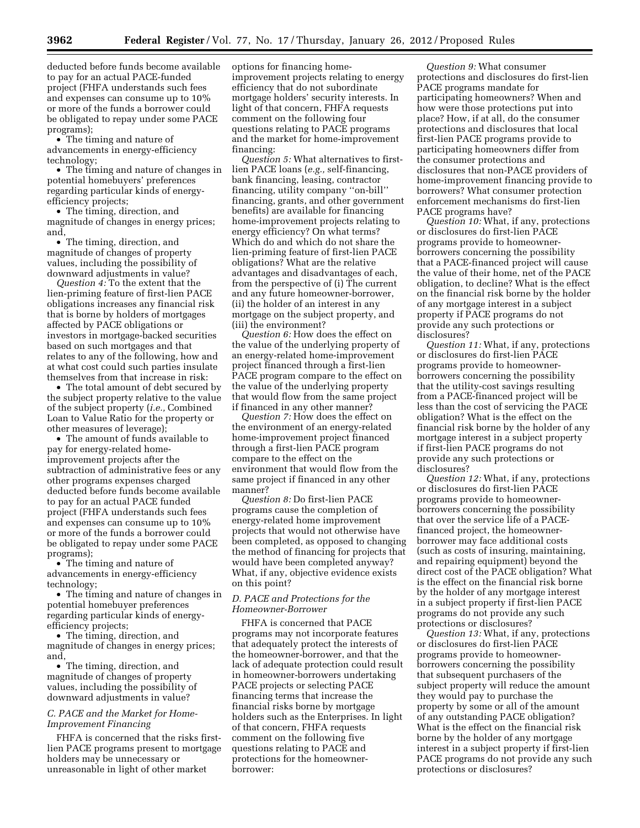deducted before funds become available to pay for an actual PACE-funded project (FHFA understands such fees and expenses can consume up to 10% or more of the funds a borrower could be obligated to repay under some PACE programs);

• The timing and nature of advancements in energy-efficiency technology;

• The timing and nature of changes in potential homebuyers' preferences regarding particular kinds of energyefficiency projects;

• The timing, direction, and magnitude of changes in energy prices; and,

• The timing, direction, and magnitude of changes of property values, including the possibility of downward adjustments in value?

*Question 4:* To the extent that the lien-priming feature of first-lien PACE obligations increases any financial risk that is borne by holders of mortgages affected by PACE obligations or investors in mortgage-backed securities based on such mortgages and that relates to any of the following, how and at what cost could such parties insulate themselves from that increase in risk:

• The total amount of debt secured by the subject property relative to the value of the subject property (*i.e.,* Combined Loan to Value Ratio for the property or other measures of leverage);

• The amount of funds available to pay for energy-related homeimprovement projects after the subtraction of administrative fees or any other programs expenses charged deducted before funds become available to pay for an actual PACE funded project (FHFA understands such fees and expenses can consume up to 10% or more of the funds a borrower could be obligated to repay under some PACE programs);

• The timing and nature of advancements in energy-efficiency technology;

• The timing and nature of changes in potential homebuyer preferences regarding particular kinds of energyefficiency projects;

• The timing, direction, and magnitude of changes in energy prices; and,

• The timing, direction, and magnitude of changes of property values, including the possibility of downward adjustments in value?

# *C. PACE and the Market for Home-Improvement Financing*

FHFA is concerned that the risks firstlien PACE programs present to mortgage holders may be unnecessary or unreasonable in light of other market

options for financing homeimprovement projects relating to energy efficiency that do not subordinate mortgage holders' security interests. In light of that concern, FHFA requests comment on the following four questions relating to PACE programs and the market for home-improvement financing:

*Question 5:* What alternatives to firstlien PACE loans (*e.g.,* self-financing, bank financing, leasing, contractor financing, utility company ''on-bill'' financing, grants, and other government benefits) are available for financing home-improvement projects relating to energy efficiency? On what terms? Which do and which do not share the lien-priming feature of first-lien PACE obligations? What are the relative advantages and disadvantages of each, from the perspective of (i) The current and any future homeowner-borrower, (ii) the holder of an interest in any mortgage on the subject property, and (iii) the environment?

*Question 6:* How does the effect on the value of the underlying property of an energy-related home-improvement project financed through a first-lien PACE program compare to the effect on the value of the underlying property that would flow from the same project if financed in any other manner?

*Question 7:* How does the effect on the environment of an energy-related home-improvement project financed through a first-lien PACE program compare to the effect on the environment that would flow from the same project if financed in any other manner?

*Question 8:* Do first-lien PACE programs cause the completion of energy-related home improvement projects that would not otherwise have been completed, as opposed to changing the method of financing for projects that would have been completed anyway? What, if any, objective evidence exists on this point?

#### *D. PACE and Protections for the Homeowner-Borrower*

FHFA is concerned that PACE programs may not incorporate features that adequately protect the interests of the homeowner-borrower, and that the lack of adequate protection could result in homeowner-borrowers undertaking PACE projects or selecting PACE financing terms that increase the financial risks borne by mortgage holders such as the Enterprises. In light of that concern, FHFA requests comment on the following five questions relating to PACE and protections for the homeownerborrower:

*Question 9:* What consumer protections and disclosures do first-lien PACE programs mandate for participating homeowners? When and how were those protections put into place? How, if at all, do the consumer protections and disclosures that local first-lien PACE programs provide to participating homeowners differ from the consumer protections and disclosures that non-PACE providers of home-improvement financing provide to borrowers? What consumer protection enforcement mechanisms do first-lien PACE programs have?

*Question 10:* What, if any, protections or disclosures do first-lien PACE programs provide to homeownerborrowers concerning the possibility that a PACE-financed project will cause the value of their home, net of the PACE obligation, to decline? What is the effect on the financial risk borne by the holder of any mortgage interest in a subject property if PACE programs do not provide any such protections or disclosures?

*Question 11:* What, if any, protections or disclosures do first-lien PACE programs provide to homeownerborrowers concerning the possibility that the utility-cost savings resulting from a PACE-financed project will be less than the cost of servicing the PACE obligation? What is the effect on the financial risk borne by the holder of any mortgage interest in a subject property if first-lien PACE programs do not provide any such protections or disclosures?

*Question 12:* What, if any, protections or disclosures do first-lien PACE programs provide to homeownerborrowers concerning the possibility that over the service life of a PACEfinanced project, the homeownerborrower may face additional costs (such as costs of insuring, maintaining, and repairing equipment) beyond the direct cost of the PACE obligation? What is the effect on the financial risk borne by the holder of any mortgage interest in a subject property if first-lien PACE programs do not provide any such protections or disclosures?

*Question 13:* What, if any, protections or disclosures do first-lien PACE programs provide to homeownerborrowers concerning the possibility that subsequent purchasers of the subject property will reduce the amount they would pay to purchase the property by some or all of the amount of any outstanding PACE obligation? What is the effect on the financial risk borne by the holder of any mortgage interest in a subject property if first-lien PACE programs do not provide any such protections or disclosures?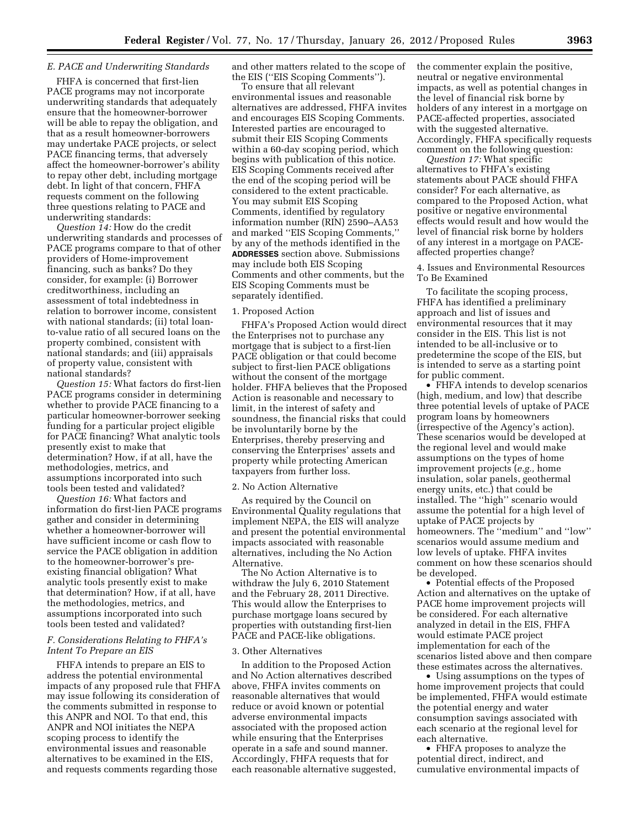#### *E. PACE and Underwriting Standards*

FHFA is concerned that first-lien PACE programs may not incorporate underwriting standards that adequately ensure that the homeowner-borrower will be able to repay the obligation, and that as a result homeowner-borrowers may undertake PACE projects, or select PACE financing terms, that adversely affect the homeowner-borrower's ability to repay other debt, including mortgage debt. In light of that concern, FHFA requests comment on the following three questions relating to PACE and underwriting standards:

*Question 14:* How do the credit underwriting standards and processes of PACE programs compare to that of other providers of Home-improvement financing, such as banks? Do they consider, for example: (i) Borrower creditworthiness, including an assessment of total indebtedness in relation to borrower income, consistent with national standards; (ii) total loanto-value ratio of all secured loans on the property combined, consistent with national standards; and (iii) appraisals of property value, consistent with national standards?

*Question 15:* What factors do first-lien PACE programs consider in determining whether to provide PACE financing to a particular homeowner-borrower seeking funding for a particular project eligible for PACE financing? What analytic tools presently exist to make that determination? How, if at all, have the methodologies, metrics, and assumptions incorporated into such tools been tested and validated?

*Question 16:* What factors and information do first-lien PACE programs gather and consider in determining whether a homeowner-borrower will have sufficient income or cash flow to service the PACE obligation in addition to the homeowner-borrower's preexisting financial obligation? What analytic tools presently exist to make that determination? How, if at all, have the methodologies, metrics, and assumptions incorporated into such tools been tested and validated?

# *F. Considerations Relating to FHFA's Intent To Prepare an EIS*

FHFA intends to prepare an EIS to address the potential environmental impacts of any proposed rule that FHFA may issue following its consideration of the comments submitted in response to this ANPR and NOI. To that end, this ANPR and NOI initiates the NEPA scoping process to identify the environmental issues and reasonable alternatives to be examined in the EIS, and requests comments regarding those

and other matters related to the scope of the EIS (''EIS Scoping Comments'').

To ensure that all relevant environmental issues and reasonable alternatives are addressed, FHFA invites and encourages EIS Scoping Comments. Interested parties are encouraged to submit their EIS Scoping Comments within a 60-day scoping period, which begins with publication of this notice. EIS Scoping Comments received after the end of the scoping period will be considered to the extent practicable. You may submit EIS Scoping Comments, identified by regulatory information number (RIN) 2590–AA53 and marked ''EIS Scoping Comments,'' by any of the methods identified in the **ADDRESSES** section above. Submissions may include both EIS Scoping Comments and other comments, but the EIS Scoping Comments must be separately identified.

#### 1. Proposed Action

FHFA's Proposed Action would direct the Enterprises not to purchase any mortgage that is subject to a first-lien PACE obligation or that could become subject to first-lien PACE obligations without the consent of the mortgage holder. FHFA believes that the Proposed Action is reasonable and necessary to limit, in the interest of safety and soundness, the financial risks that could be involuntarily borne by the Enterprises, thereby preserving and conserving the Enterprises' assets and property while protecting American taxpayers from further loss.

#### 2. No Action Alternative

As required by the Council on Environmental Quality regulations that implement NEPA, the EIS will analyze and present the potential environmental impacts associated with reasonable alternatives, including the No Action Alternative.

The No Action Alternative is to withdraw the July 6, 2010 Statement and the February 28, 2011 Directive. This would allow the Enterprises to purchase mortgage loans secured by properties with outstanding first-lien PACE and PACE-like obligations.

#### 3. Other Alternatives

In addition to the Proposed Action and No Action alternatives described above, FHFA invites comments on reasonable alternatives that would reduce or avoid known or potential adverse environmental impacts associated with the proposed action while ensuring that the Enterprises operate in a safe and sound manner. Accordingly, FHFA requests that for each reasonable alternative suggested, the commenter explain the positive, neutral or negative environmental impacts, as well as potential changes in the level of financial risk borne by holders of any interest in a mortgage on PACE-affected properties, associated with the suggested alternative. Accordingly, FHFA specifically requests comment on the following question:

*Question 17:* What specific alternatives to FHFA's existing statements about PACE should FHFA consider? For each alternative, as compared to the Proposed Action, what positive or negative environmental effects would result and how would the level of financial risk borne by holders of any interest in a mortgage on PACEaffected properties change?

4. Issues and Environmental Resources To Be Examined

To facilitate the scoping process, FHFA has identified a preliminary approach and list of issues and environmental resources that it may consider in the EIS. This list is not intended to be all-inclusive or to predetermine the scope of the EIS, but is intended to serve as a starting point for public comment.

• FHFA intends to develop scenarios (high, medium, and low) that describe three potential levels of uptake of PACE program loans by homeowners (irrespective of the Agency's action). These scenarios would be developed at the regional level and would make assumptions on the types of home improvement projects (*e.g.,* home insulation, solar panels, geothermal energy units, etc.) that could be installed. The ''high'' scenario would assume the potential for a high level of uptake of PACE projects by homeowners. The "medium" and "low" scenarios would assume medium and low levels of uptake. FHFA invites comment on how these scenarios should be developed.

• Potential effects of the Proposed Action and alternatives on the uptake of PACE home improvement projects will be considered. For each alternative analyzed in detail in the EIS, FHFA would estimate PACE project implementation for each of the scenarios listed above and then compare these estimates across the alternatives.

• Using assumptions on the types of home improvement projects that could be implemented, FHFA would estimate the potential energy and water consumption savings associated with each scenario at the regional level for each alternative.

• FHFA proposes to analyze the potential direct, indirect, and cumulative environmental impacts of